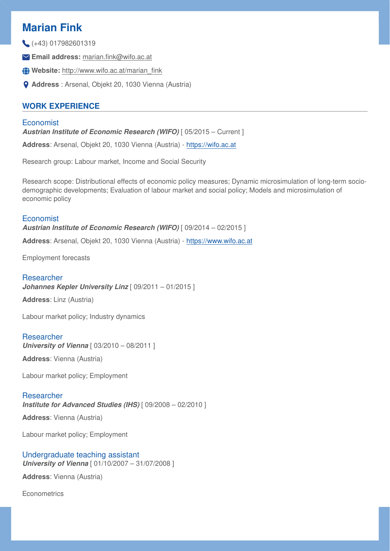# **Marian Fink**

(+43) 017982601319

- **Email address:** marian.fi[nk@wifo.ac.at](mailto:marian.fink@wifo.ac.at)
- **Website:** [http://www.wifo.ac.at/marian\\_](http://www.wifo.ac.at/marian_fink)fink
- **Address** : Arsenal, Objekt 20, 1030 Vienna (Austria)

## **WORK EXPERIENCE**

#### **Economist Austrian Institute of Economic Research (WIFO)** [  $05/2015$  – Current ]

**Address**: Arsenal, Objekt 20, 1030 Vienna (Austria) - <https://wifo.ac.at>

Research group: Labour market, Income and Social Security

Research scope: Distributional effects of economic policy measures; Dynamic microsimulation of long-term sociodemographic developments; Evaluation of labour market and social policy; Models and microsimulation of economic policy

## Economist

*Austrian Institute of Economic Research (WIFO)* [ 09/2014 – 02/2015 ]

**Address**: Arsenal, Objekt 20, 1030 Vienna (Austria) - <https://www.wifo.ac.at>

Employment forecasts

## **Researcher**

*Johannes Kepler University Linz* [ 09/2011 – 01/2015 ]

**Address**: Linz (Austria)

Labour market policy; Industry dynamics

## Researcher

*University of Vienna* [ 03/2010 – 08/2011 ]

**Address**: Vienna (Austria)

Labour market policy; Employment

## Researcher

*Institute for Advanced Studies (IHS)* [ 09/2008 – 02/2010 ]

**Address**: Vienna (Austria)

Labour market policy; Employment

## Undergraduate teaching assistant

*University of Vienna* [ 01/10/2007 – 31/07/2008 ]

**Address**: Vienna (Austria)

**Econometrics**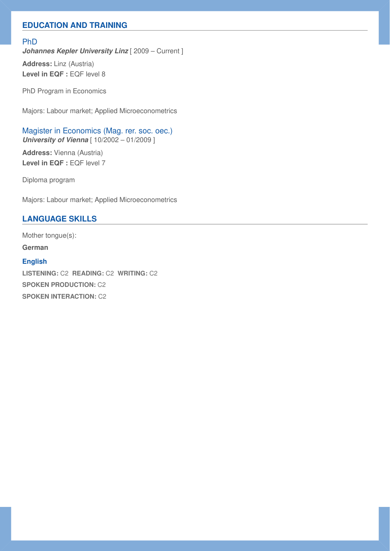## **EDUCATION AND TRAINING**

#### PhD

**Johannes Kepler University Linz** [ 2009 – Current ]

**Address:** Linz (Austria) Level in EQF : EQF level 8

PhD Program in Economics

Majors: Labour market; Applied Microeconometrics

Magister in Economics (Mag. rer. soc. oec.) *University of Vienna* [  $10/2002 - 01/2009$  ]

**Address:** Vienna (Austria) Level in EQF : EQF level 7

Diploma program

Majors: Labour market; Applied Microeconometrics

#### **LANGUAGE SKILLS**

Mother tongue(s):

**German**

#### **English**

**LISTENING:** C2 **READING:** C2 **WRITING:** C2 **SPOKEN PRODUCTION:** C2 **SPOKEN INTERACTION:** C2